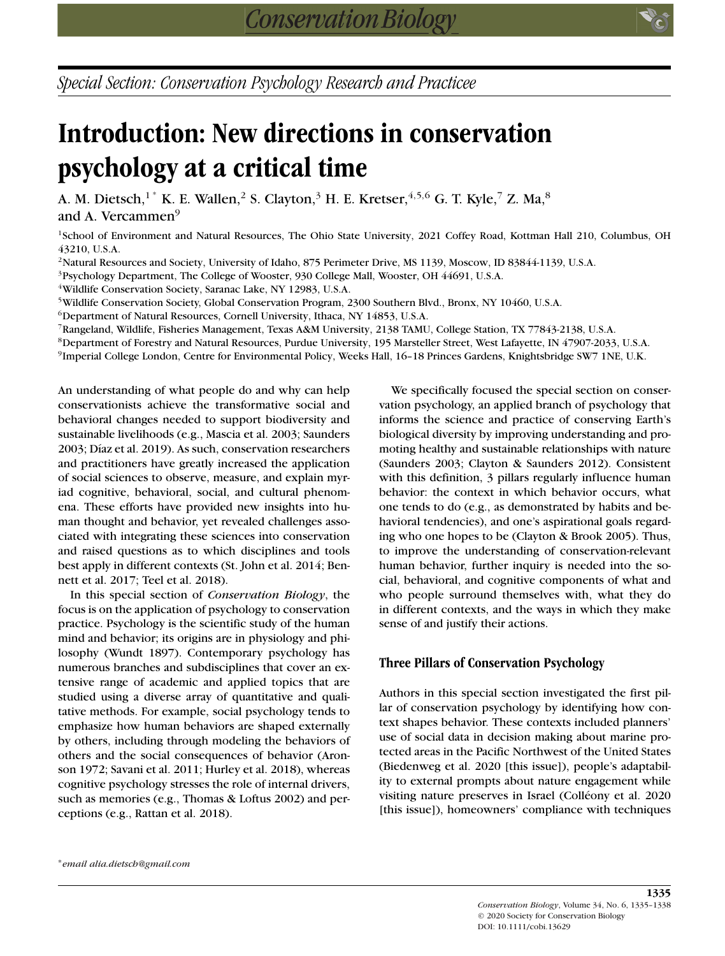*Special Section: Conservation Psychology Research and Practicee*

# **Introduction: New directions in conservation psychology at a critical time**

A. M. Dietsch, $^{1^{\ast}}$  K. E. Wallen, $^{2}$  S. Clayton, $^{3}$  H. E. Kretser, $^{4,5,6}$  G. T. Kyle, $^{7}$  Z. Ma, $^{8}$ and A. Vercammen<sup>9</sup>

<sup>1</sup>School of Environment and Natural Resources, The Ohio State University, 2021 Coffey Road, Kottman Hall 210, Columbus, OH 43210, U.S.A.

<sup>2</sup>Natural Resources and Society, University of Idaho, 875 Perimeter Drive, MS 1139, Moscow, ID 83844-1139, U.S.A.

<sup>3</sup>Psychology Department, The College of Wooster, 930 College Mall, Wooster, OH 44691, U.S.A.

4Wildlife Conservation Society, Saranac Lake, NY 12983, U.S.A.

5Wildlife Conservation Society, Global Conservation Program, 2300 Southern Blvd., Bronx, NY 10460, U.S.A.

 $6$ Department of Natural Resources, Cornell University, Ithaca, NY 14853, U.S.A.

7Rangeland, Wildlife, Fisheries Management, Texas A&M University, 2138 TAMU, College Station, TX 77843-2138, U.S.A.

8Department of Forestry and Natural Resources, Purdue University, 195 Marsteller Street, West Lafayette, IN 47907-2033, U.S.A.

9Imperial College London, Centre for Environmental Policy, Weeks Hall, 16–18 Princes Gardens, Knightsbridge SW7 1NE, U.K.

An understanding of what people do and why can help conservationists achieve the transformative social and behavioral changes needed to support biodiversity and sustainable livelihoods (e.g., Mascia et al. 2003; Saunders 2003; Díaz et al. 2019). As such, conservation researchers and practitioners have greatly increased the application of social sciences to observe, measure, and explain myriad cognitive, behavioral, social, and cultural phenomena. These efforts have provided new insights into human thought and behavior, yet revealed challenges associated with integrating these sciences into conservation and raised questions as to which disciplines and tools best apply in different contexts (St. John et al. 2014; Bennett et al. 2017; Teel et al. 2018).

In this special section of *Conservation Biology*, the focus is on the application of psychology to conservation practice. Psychology is the scientific study of the human mind and behavior; its origins are in physiology and philosophy (Wundt 1897). Contemporary psychology has numerous branches and subdisciplines that cover an extensive range of academic and applied topics that are studied using a diverse array of quantitative and qualitative methods. For example, social psychology tends to emphasize how human behaviors are shaped externally by others, including through modeling the behaviors of others and the social consequences of behavior (Aronson 1972; Savani et al. 2011; Hurley et al. 2018), whereas cognitive psychology stresses the role of internal drivers, such as memories (e.g., Thomas & Loftus 2002) and perceptions (e.g., Rattan et al. 2018).

We specifically focused the special section on conservation psychology, an applied branch of psychology that informs the science and practice of conserving Earth's biological diversity by improving understanding and promoting healthy and sustainable relationships with nature (Saunders 2003; Clayton & Saunders 2012). Consistent with this definition, 3 pillars regularly influence human behavior: the context in which behavior occurs, what one tends to do (e.g., as demonstrated by habits and behavioral tendencies), and one's aspirational goals regarding who one hopes to be (Clayton & Brook 2005). Thus, to improve the understanding of conservation-relevant human behavior, further inquiry is needed into the social, behavioral, and cognitive components of what and who people surround themselves with, what they do in different contexts, and the ways in which they make sense of and justify their actions.

## **Three Pillars of Conservation Psychology**

Authors in this special section investigated the first pillar of conservation psychology by identifying how context shapes behavior. These contexts included planners' use of social data in decision making about marine protected areas in the Pacific Northwest of the United States (Biedenweg et al. 2020 [this issue]), people's adaptability to external prompts about nature engagement while visiting nature preserves in Israel (Colléony et al. 2020 [this issue]), homeowners' compliance with techniques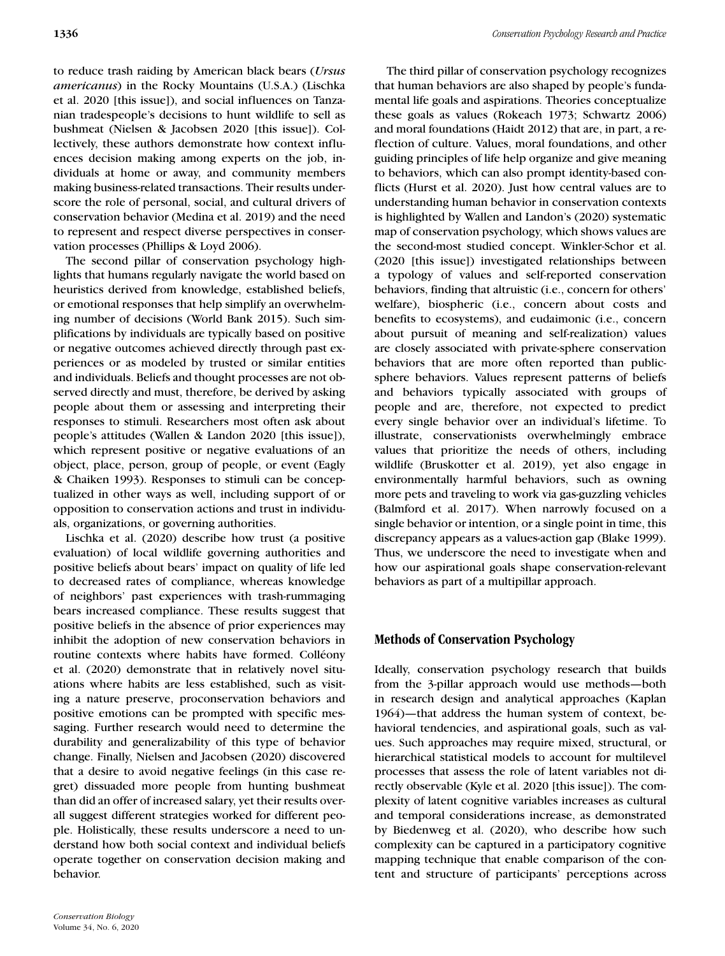to reduce trash raiding by American black bears (*Ursus americanus*) in the Rocky Mountains (U.S.A.) (Lischka et al. 2020 [this issue]), and social influences on Tanzanian tradespeople's decisions to hunt wildlife to sell as bushmeat (Nielsen & Jacobsen 2020 [this issue]). Collectively, these authors demonstrate how context influences decision making among experts on the job, individuals at home or away, and community members making business-related transactions. Their results underscore the role of personal, social, and cultural drivers of conservation behavior (Medina et al. 2019) and the need to represent and respect diverse perspectives in conservation processes (Phillips & Loyd 2006).

The second pillar of conservation psychology highlights that humans regularly navigate the world based on heuristics derived from knowledge, established beliefs, or emotional responses that help simplify an overwhelming number of decisions (World Bank 2015). Such simplifications by individuals are typically based on positive or negative outcomes achieved directly through past experiences or as modeled by trusted or similar entities and individuals. Beliefs and thought processes are not observed directly and must, therefore, be derived by asking people about them or assessing and interpreting their responses to stimuli. Researchers most often ask about people's attitudes (Wallen & Landon 2020 [this issue]), which represent positive or negative evaluations of an object, place, person, group of people, or event (Eagly & Chaiken 1993). Responses to stimuli can be conceptualized in other ways as well, including support of or opposition to conservation actions and trust in individuals, organizations, or governing authorities.

Lischka et al. (2020) describe how trust (a positive evaluation) of local wildlife governing authorities and positive beliefs about bears' impact on quality of life led to decreased rates of compliance, whereas knowledge of neighbors' past experiences with trash-rummaging bears increased compliance. These results suggest that positive beliefs in the absence of prior experiences may inhibit the adoption of new conservation behaviors in routine contexts where habits have formed. Colléony et al. (2020) demonstrate that in relatively novel situations where habits are less established, such as visiting a nature preserve, proconservation behaviors and positive emotions can be prompted with specific messaging. Further research would need to determine the durability and generalizability of this type of behavior change. Finally, Nielsen and Jacobsen (2020) discovered that a desire to avoid negative feelings (in this case regret) dissuaded more people from hunting bushmeat than did an offer of increased salary, yet their results overall suggest different strategies worked for different people. Holistically, these results underscore a need to understand how both social context and individual beliefs operate together on conservation decision making and behavior.

The third pillar of conservation psychology recognizes that human behaviors are also shaped by people's fundamental life goals and aspirations. Theories conceptualize these goals as values (Rokeach 1973; Schwartz 2006) and moral foundations (Haidt 2012) that are, in part, a reflection of culture. Values, moral foundations, and other guiding principles of life help organize and give meaning to behaviors, which can also prompt identity-based conflicts (Hurst et al. 2020). Just how central values are to understanding human behavior in conservation contexts is highlighted by Wallen and Landon's (2020) systematic map of conservation psychology, which shows values are the second-most studied concept. Winkler-Schor et al. (2020 [this issue]) investigated relationships between a typology of values and self-reported conservation behaviors, finding that altruistic (i.e., concern for others' welfare), biospheric (i.e., concern about costs and benefits to ecosystems), and eudaimonic (i.e., concern about pursuit of meaning and self-realization) values are closely associated with private-sphere conservation behaviors that are more often reported than publicsphere behaviors. Values represent patterns of beliefs and behaviors typically associated with groups of people and are, therefore, not expected to predict every single behavior over an individual's lifetime. To illustrate, conservationists overwhelmingly embrace values that prioritize the needs of others, including wildlife (Bruskotter et al. 2019), yet also engage in environmentally harmful behaviors, such as owning more pets and traveling to work via gas-guzzling vehicles (Balmford et al. 2017). When narrowly focused on a single behavior or intention, or a single point in time, this discrepancy appears as a values-action gap (Blake 1999). Thus, we underscore the need to investigate when and how our aspirational goals shape conservation-relevant behaviors as part of a multipillar approach.

## **Methods of Conservation Psychology**

Ideally, conservation psychology research that builds from the 3-pillar approach would use methods—both in research design and analytical approaches (Kaplan 1964)—that address the human system of context, behavioral tendencies, and aspirational goals, such as values. Such approaches may require mixed, structural, or hierarchical statistical models to account for multilevel processes that assess the role of latent variables not directly observable (Kyle et al. 2020 [this issue]). The complexity of latent cognitive variables increases as cultural and temporal considerations increase, as demonstrated by Biedenweg et al. (2020), who describe how such complexity can be captured in a participatory cognitive mapping technique that enable comparison of the content and structure of participants' perceptions across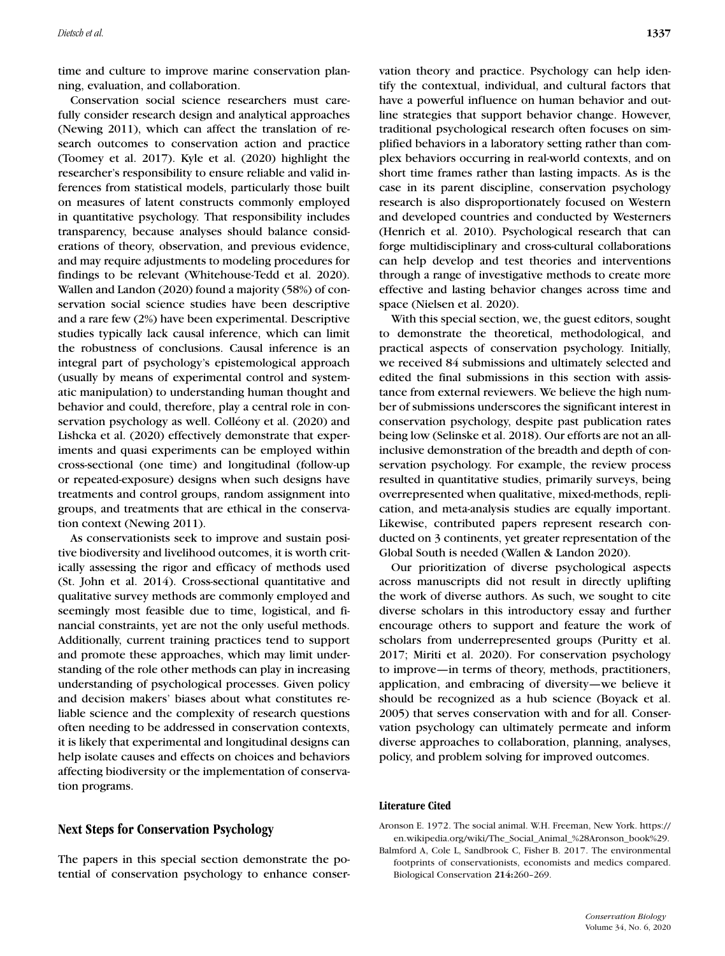time and culture to improve marine conservation planning, evaluation, and collaboration.

Conservation social science researchers must carefully consider research design and analytical approaches (Newing 2011), which can affect the translation of research outcomes to conservation action and practice (Toomey et al. 2017). Kyle et al. (2020) highlight the researcher's responsibility to ensure reliable and valid inferences from statistical models, particularly those built on measures of latent constructs commonly employed in quantitative psychology. That responsibility includes transparency, because analyses should balance considerations of theory, observation, and previous evidence, and may require adjustments to modeling procedures for findings to be relevant (Whitehouse-Tedd et al. 2020). Wallen and Landon (2020) found a majority (58%) of conservation social science studies have been descriptive and a rare few (2%) have been experimental. Descriptive studies typically lack causal inference, which can limit the robustness of conclusions. Causal inference is an integral part of psychology's epistemological approach (usually by means of experimental control and systematic manipulation) to understanding human thought and behavior and could, therefore, play a central role in conservation psychology as well. Colléony et al. (2020) and Lishcka et al. (2020) effectively demonstrate that experiments and quasi experiments can be employed within cross-sectional (one time) and longitudinal (follow-up or repeated-exposure) designs when such designs have treatments and control groups, random assignment into groups, and treatments that are ethical in the conservation context (Newing 2011).

As conservationists seek to improve and sustain positive biodiversity and livelihood outcomes, it is worth critically assessing the rigor and efficacy of methods used (St. John et al. 2014). Cross-sectional quantitative and qualitative survey methods are commonly employed and seemingly most feasible due to time, logistical, and financial constraints, yet are not the only useful methods. Additionally, current training practices tend to support and promote these approaches, which may limit understanding of the role other methods can play in increasing understanding of psychological processes. Given policy and decision makers' biases about what constitutes reliable science and the complexity of research questions often needing to be addressed in conservation contexts, it is likely that experimental and longitudinal designs can help isolate causes and effects on choices and behaviors affecting biodiversity or the implementation of conservation programs.

#### **Next Steps for Conservation Psychology**

The papers in this special section demonstrate the potential of conservation psychology to enhance conservation theory and practice. Psychology can help identify the contextual, individual, and cultural factors that have a powerful influence on human behavior and outline strategies that support behavior change. However, traditional psychological research often focuses on simplified behaviors in a laboratory setting rather than complex behaviors occurring in real-world contexts, and on short time frames rather than lasting impacts. As is the case in its parent discipline, conservation psychology research is also disproportionately focused on Western and developed countries and conducted by Westerners (Henrich et al. 2010). Psychological research that can forge multidisciplinary and cross-cultural collaborations can help develop and test theories and interventions through a range of investigative methods to create more effective and lasting behavior changes across time and space (Nielsen et al. 2020).

With this special section, we, the guest editors, sought to demonstrate the theoretical, methodological, and practical aspects of conservation psychology. Initially, we received 84 submissions and ultimately selected and edited the final submissions in this section with assistance from external reviewers. We believe the high number of submissions underscores the significant interest in conservation psychology, despite past publication rates being low (Selinske et al. 2018). Our efforts are not an allinclusive demonstration of the breadth and depth of conservation psychology. For example, the review process resulted in quantitative studies, primarily surveys, being overrepresented when qualitative, mixed-methods, replication, and meta-analysis studies are equally important. Likewise, contributed papers represent research conducted on 3 continents, yet greater representation of the Global South is needed (Wallen & Landon 2020).

Our prioritization of diverse psychological aspects across manuscripts did not result in directly uplifting the work of diverse authors. As such, we sought to cite diverse scholars in this introductory essay and further encourage others to support and feature the work of scholars from underrepresented groups (Puritty et al. 2017; Miriti et al. 2020). For conservation psychology to improve—in terms of theory, methods, practitioners, application, and embracing of diversity—we believe it should be recognized as a hub science (Boyack et al. 2005) that serves conservation with and for all. Conservation psychology can ultimately permeate and inform diverse approaches to collaboration, planning, analyses, policy, and problem solving for improved outcomes.

#### **Literature Cited**

Aronson E. 1972. The social animal. W.H. Freeman, New York. [https://](https://en.wikipedia.org/wiki/The_Social_Animal_%28Aronson_book%29) [en.wikipedia.org/wiki/The\\_Social\\_Animal\\_%28Aronson\\_book%29.](https://en.wikipedia.org/wiki/The_Social_Animal_%28Aronson_book%29)

Balmford A, Cole L, Sandbrook C, Fisher B. 2017. The environmental footprints of conservationists, economists and medics compared. Biological Conservation **214:**260–269.